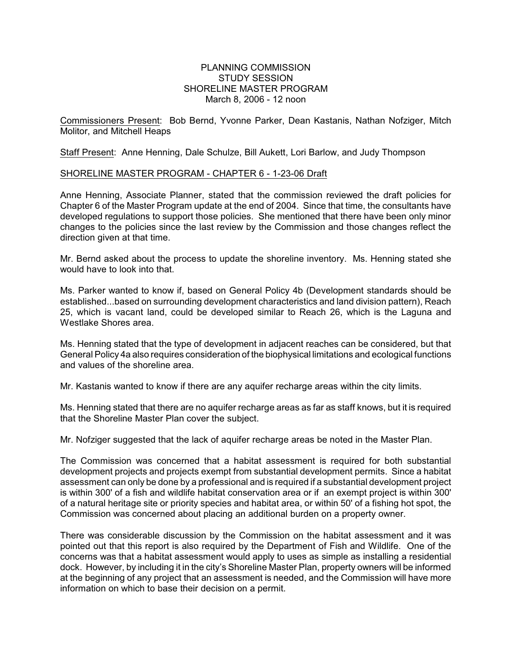## PLANNING COMMISSION STUDY SESSION SHORELINE MASTER PROGRAM March 8, 2006 - 12 noon

Commissioners Present: Bob Bernd, Yvonne Parker, Dean Kastanis, Nathan Nofziger, Mitch Molitor, and Mitchell Heaps

Staff Present: Anne Henning, Dale Schulze, Bill Aukett, Lori Barlow, and Judy Thompson

## SHORELINE MASTER PROGRAM - CHAPTER 6 - 1-23-06 Draft

Anne Henning, Associate Planner, stated that the commission reviewed the draft policies for Chapter 6 of the Master Program update at the end of 2004. Since that time, the consultants have developed regulations to support those policies. She mentioned that there have been only minor changes to the policies since the last review by the Commission and those changes reflect the direction given at that time.

Mr. Bernd asked about the process to update the shoreline inventory. Ms. Henning stated she would have to look into that.

Ms. Parker wanted to know if, based on General Policy 4b (Development standards should be established...based on surrounding development characteristics and land division pattern), Reach 25, which is vacant land, could be developed similar to Reach 26, which is the Laguna and Westlake Shores area.

Ms. Henning stated that the type of development in adjacent reaches can be considered, but that General Policy 4a also requires consideration of the biophysical limitations and ecological functions and values of the shoreline area.

Mr. Kastanis wanted to know if there are any aquifer recharge areas within the city limits.

Ms. Henning stated that there are no aquifer recharge areas as far as staff knows, but it is required that the Shoreline Master Plan cover the subject.

Mr. Nofziger suggested that the lack of aquifer recharge areas be noted in the Master Plan.

The Commission was concerned that a habitat assessment is required for both substantial development projects and projects exempt from substantial development permits. Since a habitat assessment can only be done by a professional and is required if a substantial development project is within 300' of a fish and wildlife habitat conservation area or if an exempt project is within 300' of a natural heritage site or priority species and habitat area, or within 50' of a fishing hot spot, the Commission was concerned about placing an additional burden on a property owner.

There was considerable discussion by the Commission on the habitat assessment and it was pointed out that this report is also required by the Department of Fish and Wildlife. One of the concerns was that a habitat assessment would apply to uses as simple as installing a residential dock. However, by including it in the city's Shoreline Master Plan, property owners will be informed at the beginning of any project that an assessment is needed, and the Commission will have more information on which to base their decision on a permit.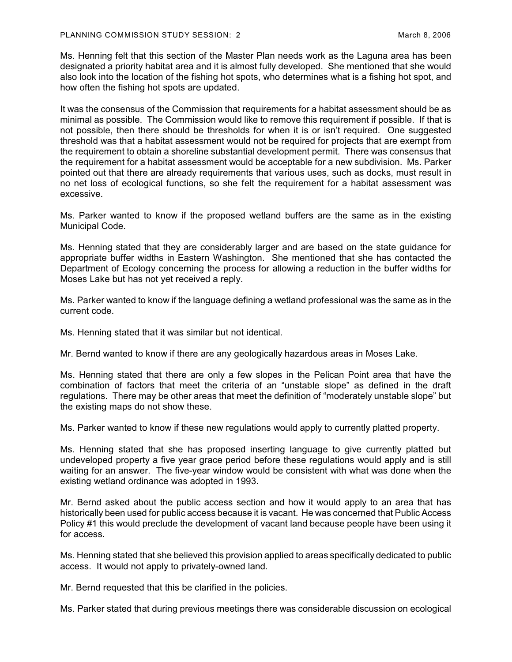Ms. Henning felt that this section of the Master Plan needs work as the Laguna area has been designated a priority habitat area and it is almost fully developed. She mentioned that she would also look into the location of the fishing hot spots, who determines what is a fishing hot spot, and how often the fishing hot spots are updated.

It was the consensus of the Commission that requirements for a habitat assessment should be as minimal as possible. The Commission would like to remove this requirement if possible. If that is not possible, then there should be thresholds for when it is or isn't required. One suggested threshold was that a habitat assessment would not be required for projects that are exempt from the requirement to obtain a shoreline substantial development permit. There was consensus that the requirement for a habitat assessment would be acceptable for a new subdivision. Ms. Parker pointed out that there are already requirements that various uses, such as docks, must result in no net loss of ecological functions, so she felt the requirement for a habitat assessment was excessive.

Ms. Parker wanted to know if the proposed wetland buffers are the same as in the existing Municipal Code.

Ms. Henning stated that they are considerably larger and are based on the state guidance for appropriate buffer widths in Eastern Washington. She mentioned that she has contacted the Department of Ecology concerning the process for allowing a reduction in the buffer widths for Moses Lake but has not yet received a reply.

Ms. Parker wanted to know if the language defining a wetland professional was the same as in the current code.

Ms. Henning stated that it was similar but not identical.

Mr. Bernd wanted to know if there are any geologically hazardous areas in Moses Lake.

Ms. Henning stated that there are only a few slopes in the Pelican Point area that have the combination of factors that meet the criteria of an "unstable slope" as defined in the draft regulations. There may be other areas that meet the definition of "moderately unstable slope" but the existing maps do not show these.

Ms. Parker wanted to know if these new regulations would apply to currently platted property.

Ms. Henning stated that she has proposed inserting language to give currently platted but undeveloped property a five year grace period before these regulations would apply and is still waiting for an answer. The five-year window would be consistent with what was done when the existing wetland ordinance was adopted in 1993.

Mr. Bernd asked about the public access section and how it would apply to an area that has historically been used for public access because it is vacant. He was concerned that Public Access Policy #1 this would preclude the development of vacant land because people have been using it for access.

Ms. Henning stated that she believed this provision applied to areas specifically dedicated to public access. It would not apply to privately-owned land.

Mr. Bernd requested that this be clarified in the policies.

Ms. Parker stated that during previous meetings there was considerable discussion on ecological